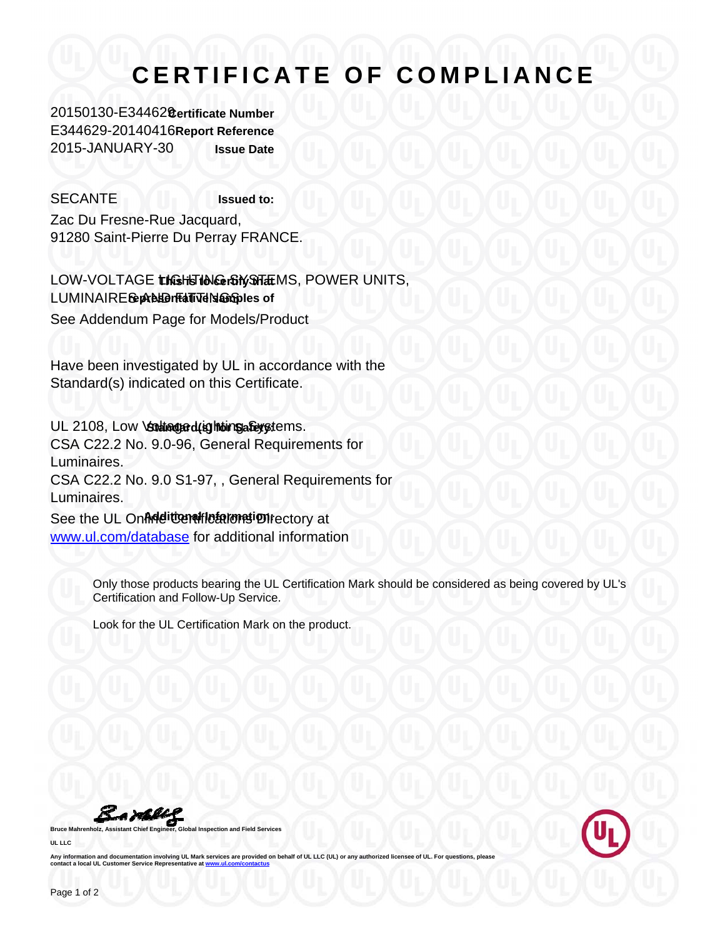## **CERTIFICATE OF COMPLIANCE**

20150130-E344629 **Certificate Number** E344629-20140416 **Report Reference** 2015-JANUARY-30 **Issue Date**

SECANTE **Issued to:** Zac Du Fresne-Rue Jacquard, 91280 Saint-Pierre Du Perray FRANCE.

LOW-VOLTAGE **the Histor Construct** MS, POWER UNITS, LUMINAIRE GepAB LEHT Tel Standes of See Addendum Page for Models/Product

Have been investigated by UL in accordance with the Standard(s) indicated on this Certificate.

UL 2108, Low *Stating at Lighting a Guystems*. CSA C22.2 No. 9.0-96, General Requirements for Luminaires. CSA C22.2 No. 9.0 S1-97, , General Requirements for Luminaires.

See the UL Online Certifications of the Certification of the Certification of the UL Online **Additional International International International International International International International International Intern** www.ul.com/database for additional information

> Only those products bearing the UL Certification Mark should be considered as being covered by UL's Certification and Follow-Up Service.

Look for the UL Certification Mark on the product.

**Bruce Mahrenholz, Assistant Chief Engineer, Global Inspection and Field Services** 

**UL LLC**